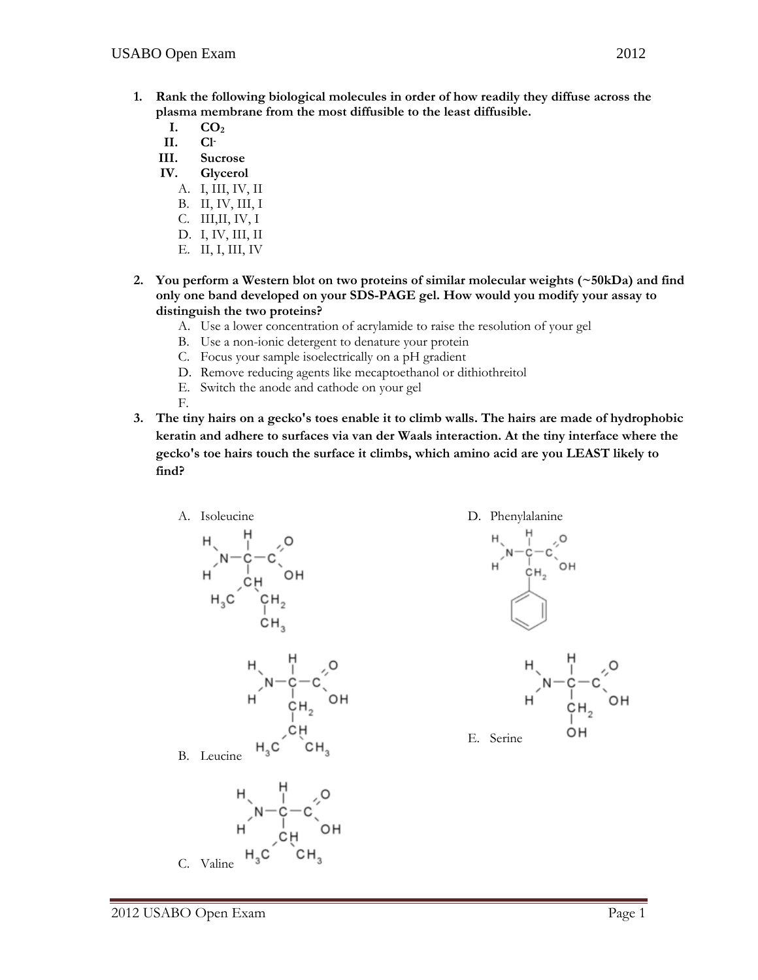- **1. Rank the following biological molecules in order of how readily they diffuse across the plasma membrane from the most diffusible to the least diffusible.** 
	- **I. CO2**
	- **II. Cl-**
	- **III. Sucrose**
	- **IV. Glycerol** 
		- A. I, III, IV, II
		- B. II, IV, III, I
		- C. III,II, IV, I
		- D. I, IV, III, II
		- E. II, I, III, IV
- **2. You perform a Western blot on two proteins of similar molecular weights (~50kDa) and find only one band developed on your SDS-PAGE gel. How would you modify your assay to distinguish the two proteins?**
	- A. Use a lower concentration of acrylamide to raise the resolution of your gel
	- B. Use a non-ionic detergent to denature your protein
	- C. Focus your sample isoelectrically on a pH gradient
	- D. Remove reducing agents like mecaptoethanol or dithiothreitol
	- E. Switch the anode and cathode on your gel
	- F.
- **3. The tiny hairs on a gecko's toes enable it to climb walls. The hairs are made of hydrophobic keratin and adhere to surfaces via van der Waals interaction. At the tiny interface where the gecko's toe hairs touch the surface it climbs, which amino acid are you LEAST likely to find?**





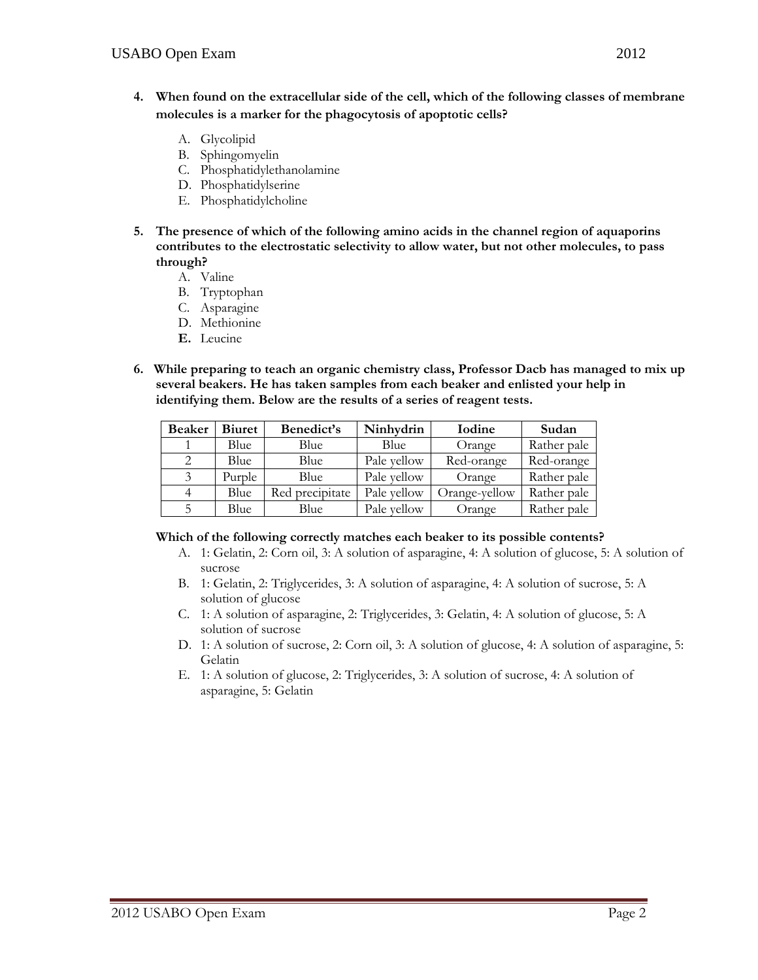- **4. When found on the extracellular side of the cell, which of the following classes of membrane molecules is a marker for the phagocytosis of apoptotic cells?** 
	- A. Glycolipid
	- B. Sphingomyelin
	- C. Phosphatidylethanolamine
	- D. Phosphatidylserine
	- E. Phosphatidylcholine
- **5. The presence of which of the following amino acids in the channel region of aquaporins contributes to the electrostatic selectivity to allow water, but not other molecules, to pass through?** 
	- A. Valine
	- B. Tryptophan
	- C. Asparagine
	- D. Methionine
	- **E.** Leucine
- **6. While preparing to teach an organic chemistry class, Professor Dacb has managed to mix up several beakers. He has taken samples from each beaker and enlisted your help in identifying them. Below are the results of a series of reagent tests.**

| <b>Beaker</b> | <b>Biuret</b> | Benedict's      | Ninhydrin   | Iodine        | Sudan       |
|---------------|---------------|-----------------|-------------|---------------|-------------|
|               | Blue          | Blue            | Blue        | Orange        | Rather pale |
|               | Blue          | Blue            | Pale yellow | Red-orange    | Red-orange  |
| 3             | Purple        | Blue            | Pale yellow | Orange        | Rather pale |
|               | Blue          | Red precipitate | Pale vellow | Orange-yellow | Rather pale |
| 5             | Blue          | Blue            | Pale yellow | Orange        | Rather pale |

#### **Which of the following correctly matches each beaker to its possible contents?**

- A. 1: Gelatin, 2: Corn oil, 3: A solution of asparagine, 4: A solution of glucose, 5: A solution of sucrose
- B. 1: Gelatin, 2: Triglycerides, 3: A solution of asparagine, 4: A solution of sucrose, 5: A solution of glucose
- C. 1: A solution of asparagine, 2: Triglycerides, 3: Gelatin, 4: A solution of glucose, 5: A solution of sucrose
- D. 1: A solution of sucrose, 2: Corn oil, 3: A solution of glucose, 4: A solution of asparagine, 5: Gelatin
- E. 1: A solution of glucose, 2: Triglycerides, 3: A solution of sucrose, 4: A solution of asparagine, 5: Gelatin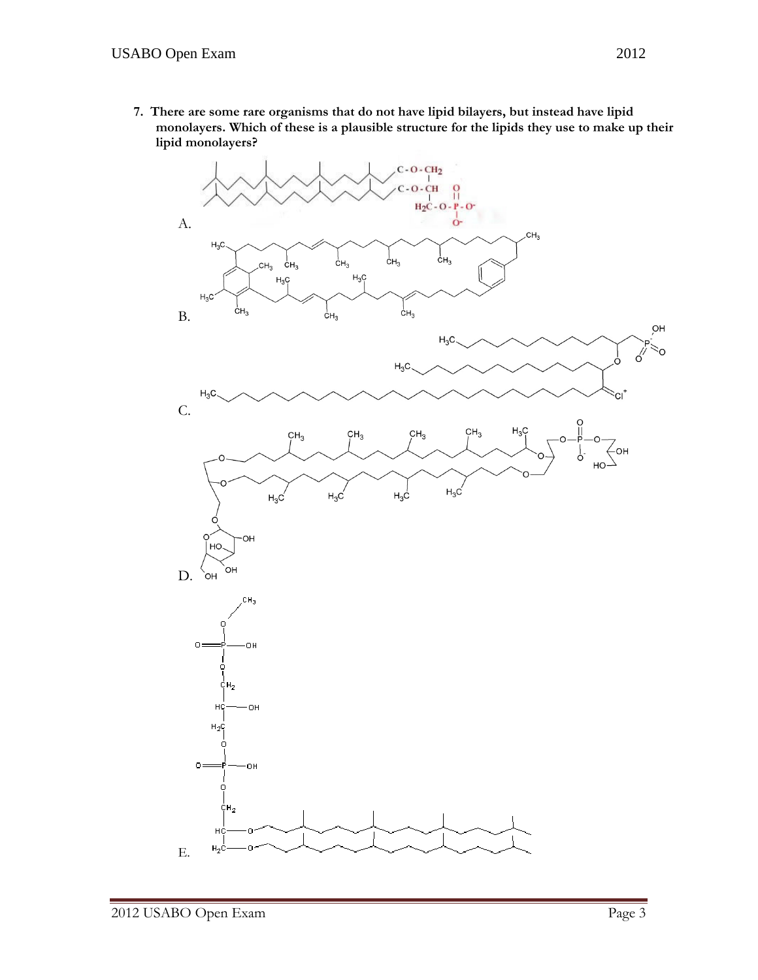**7. There are some rare organisms that do not have lipid bilayers, but instead have lipid monolayers. Which of these is a plausible structure for the lipids they use to make up their lipid monolayers?** 

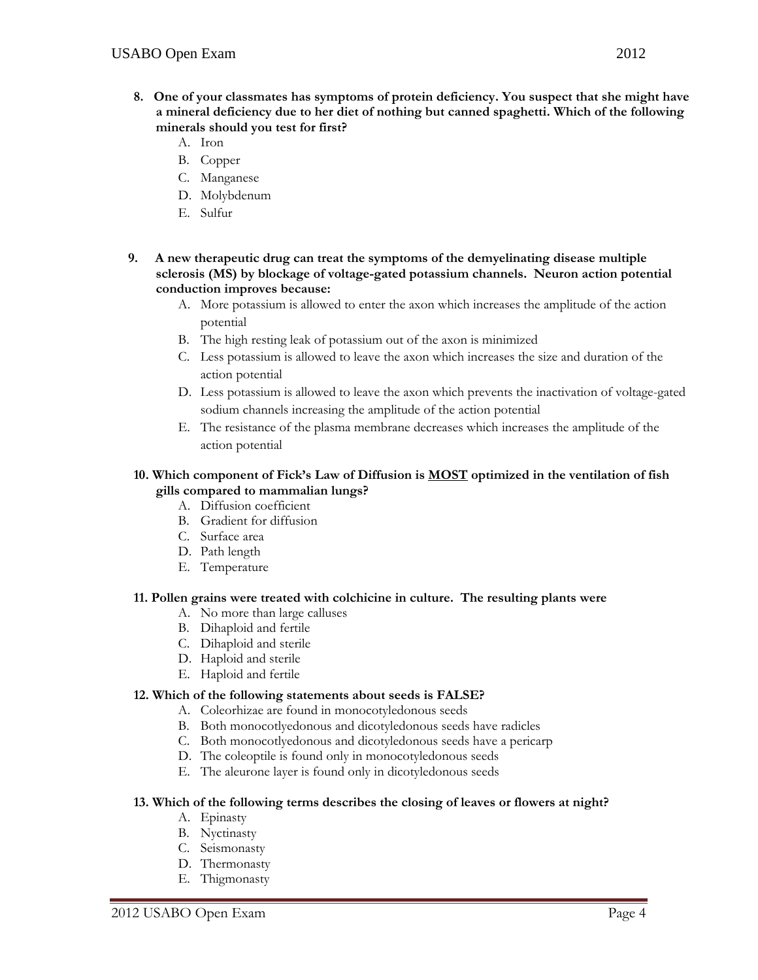- **8. One of your classmates has symptoms of protein deficiency. You suspect that she might have a mineral deficiency due to her diet of nothing but canned spaghetti. Which of the following minerals should you test for first?** 
	- A. Iron
	- B. Copper
	- C. Manganese
	- D. Molybdenum
	- E. Sulfur
- **9. A new therapeutic drug can treat the symptoms of the demyelinating disease multiple sclerosis (MS) by blockage of voltage-gated potassium channels. Neuron action potential conduction improves because:** 
	- A. More potassium is allowed to enter the axon which increases the amplitude of the action potential
	- B. The high resting leak of potassium out of the axon is minimized
	- C. Less potassium is allowed to leave the axon which increases the size and duration of the action potential
	- D. Less potassium is allowed to leave the axon which prevents the inactivation of voltage-gated sodium channels increasing the amplitude of the action potential
	- E. The resistance of the plasma membrane decreases which increases the amplitude of the action potential

# **10. Which component of Fick's Law of Diffusion is MOST optimized in the ventilation of fish gills compared to mammalian lungs?**

- A. Diffusion coefficient
- B. Gradient for diffusion
- C. Surface area
- D. Path length
- E. Temperature

## **11. Pollen grains were treated with colchicine in culture. The resulting plants were**

- A. No more than large calluses
- B. Dihaploid and fertile
- C. Dihaploid and sterile
- D. Haploid and sterile
- E. Haploid and fertile

## **12. Which of the following statements about seeds is FALSE?**

- A. Coleorhizae are found in monocotyledonous seeds
- B. Both monocotlyedonous and dicotyledonous seeds have radicles
- C. Both monocotlyedonous and dicotyledonous seeds have a pericarp
- D. The coleoptile is found only in monocotyledonous seeds
- E. The aleurone layer is found only in dicotyledonous seeds

## **13. Which of the following terms describes the closing of leaves or flowers at night?**

- A. Epinasty
- B. Nyctinasty
- C. Seismonasty
- D. Thermonasty
- E. Thigmonasty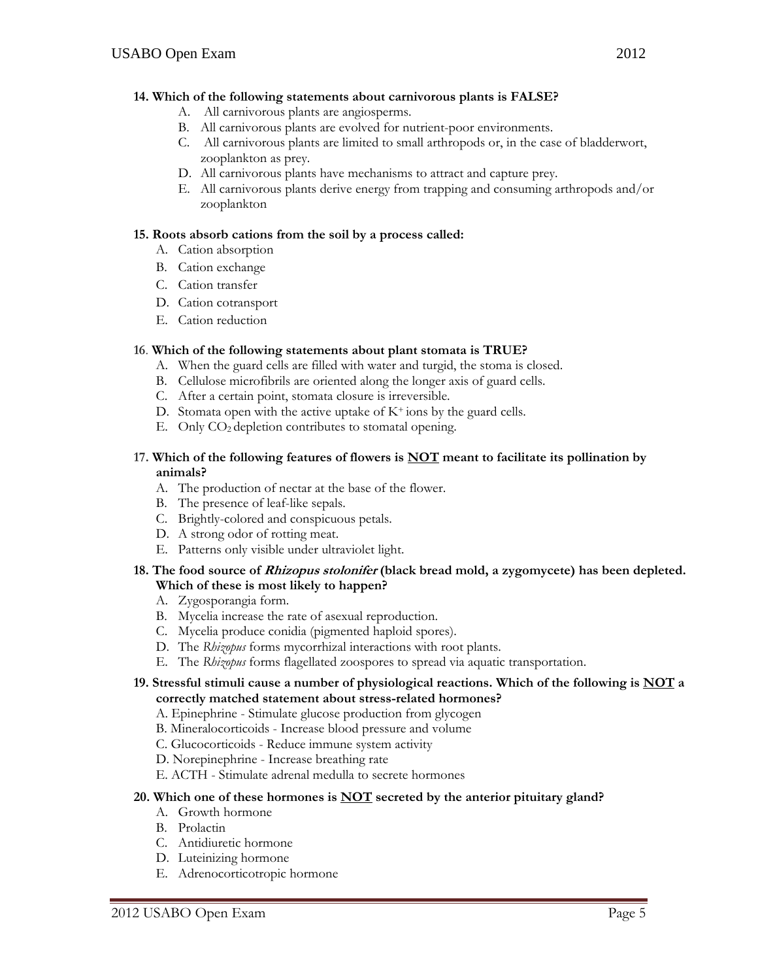## **14. Which of the following statements about carnivorous plants is FALSE?**

- A. All carnivorous plants are angiosperms.
- B. All carnivorous plants are evolved for nutrient-poor environments.
- C. All carnivorous plants are limited to small arthropods or, in the case of bladderwort, zooplankton as prey.
- D. All carnivorous plants have mechanisms to attract and capture prey.
- E. All carnivorous plants derive energy from trapping and consuming arthropods and/or zooplankton

## **15. Roots absorb cations from the soil by a process called:**

- A. Cation absorption
- B. Cation exchange
- C. Cation transfer
- D. Cation cotransport
- E. Cation reduction

## **16**. **Which of the following statements about plant stomata is TRUE?**

- A. When the guard cells are filled with water and turgid, the stoma is closed.
- B. Cellulose microfibrils are oriented along the longer axis of guard cells.
- C. After a certain point, stomata closure is irreversible.
- D. Stomata open with the active uptake of  $K<sup>+</sup>$  ions by the guard cells.
- E. Only CO2 depletion contributes to stomatal opening.

## **17. Which of the following features of flowers is NOT meant to facilitate its pollination by animals?**

- A. The production of nectar at the base of the flower.
- B. The presence of leaf-like sepals.
- C. Brightly-colored and conspicuous petals.
- D. A strong odor of rotting meat.
- E. Patterns only visible under ultraviolet light.

## **18. The food source of Rhizopus stolonifer (black bread mold, a zygomycete) has been depleted. Which of these is most likely to happen?**

- A. Zygosporangia form.
- B. Mycelia increase the rate of asexual reproduction.
- C. Mycelia produce conidia (pigmented haploid spores).
- D. The *Rhizopus* forms mycorrhizal interactions with root plants.
- E. The *Rhizopus* forms flagellated zoospores to spread via aquatic transportation.

# **19. Stressful stimuli cause a number of physiological reactions. Which of the following is NOT a correctly matched statement about stress-related hormones?**

- A. Epinephrine Stimulate glucose production from glycogen
- B. Mineralocorticoids Increase blood pressure and volume
- C. Glucocorticoids Reduce immune system activity
- D. Norepinephrine Increase breathing rate
- E. ACTH Stimulate adrenal medulla to secrete hormones

# **20. Which one of these hormones is NOT secreted by the anterior pituitary gland?**

- A. Growth hormone
- B. Prolactin
- C. Antidiuretic hormone
- D. Luteinizing hormone
- E. Adrenocorticotropic hormone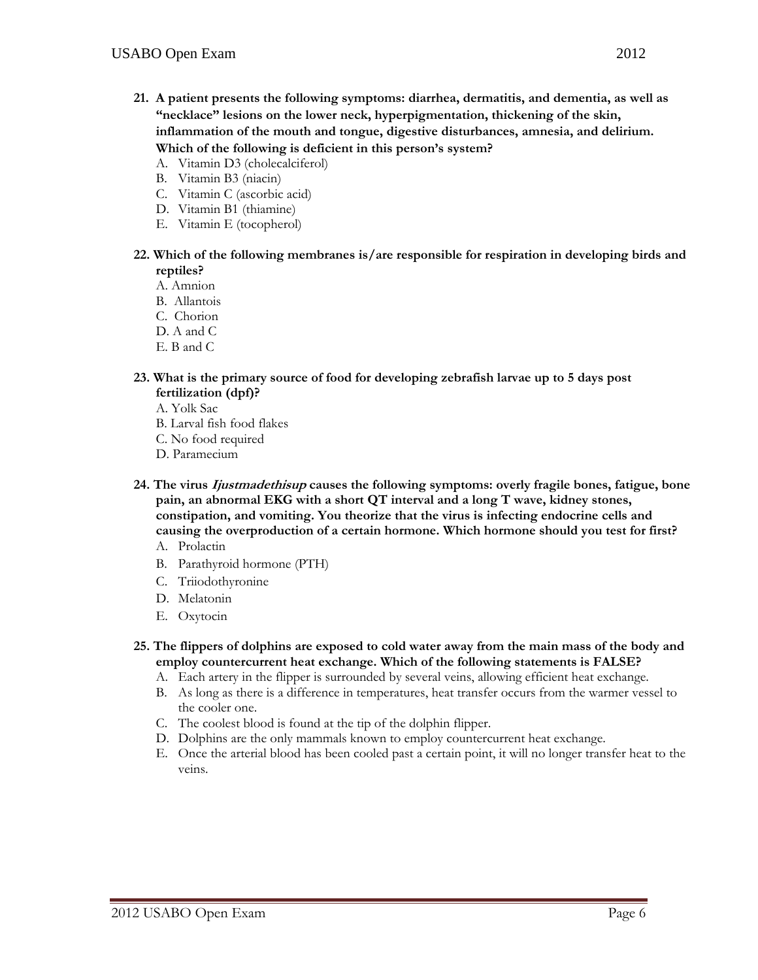- **21. A patient presents the following symptoms: diarrhea, dermatitis, and dementia, as well as "necklace" lesions on the lower neck, hyperpigmentation, thickening of the skin, inflammation of the mouth and tongue, digestive disturbances, amnesia, and delirium. Which of the following is deficient in this person's system?**
	- A. Vitamin D3 (cholecalciferol)
	- B. Vitamin B3 (niacin)
	- C. Vitamin C (ascorbic acid)
	- D. Vitamin B1 (thiamine)
	- E. Vitamin E (tocopherol)
- **22. Which of the following membranes is/are responsible for respiration in developing birds and reptiles?** 
	- A. Amnion
	- B. Allantois
	- C. Chorion
	- D. A and C
	- E. B and C
- **23. What is the primary source of food for developing zebrafish larvae up to 5 days post fertilization (dpf)?**
	- A. Yolk Sac
	- B. Larval fish food flakes
	- C. No food required
	- D. Paramecium
- **24. The virus Ijustmadethisup causes the following symptoms: overly fragile bones, fatigue, bone pain, an abnormal EKG with a short QT interval and a long T wave, kidney stones, constipation, and vomiting. You theorize that the virus is infecting endocrine cells and causing the overproduction of a certain hormone. Which hormone should you test for first?**  A. Prolactin
	- B. Parathyroid hormone (PTH)
	- C. Triiodothyronine
	- D. Melatonin
	- E. Oxytocin
- **25. The flippers of dolphins are exposed to cold water away from the main mass of the body and employ countercurrent heat exchange. Which of the following statements is FALSE?** 
	- A. Each artery in the flipper is surrounded by several veins, allowing efficient heat exchange.
	- B. As long as there is a difference in temperatures, heat transfer occurs from the warmer vessel to the cooler one.
	- C. The coolest blood is found at the tip of the dolphin flipper.
	- D. Dolphins are the only mammals known to employ countercurrent heat exchange.
	- E. Once the arterial blood has been cooled past a certain point, it will no longer transfer heat to the veins.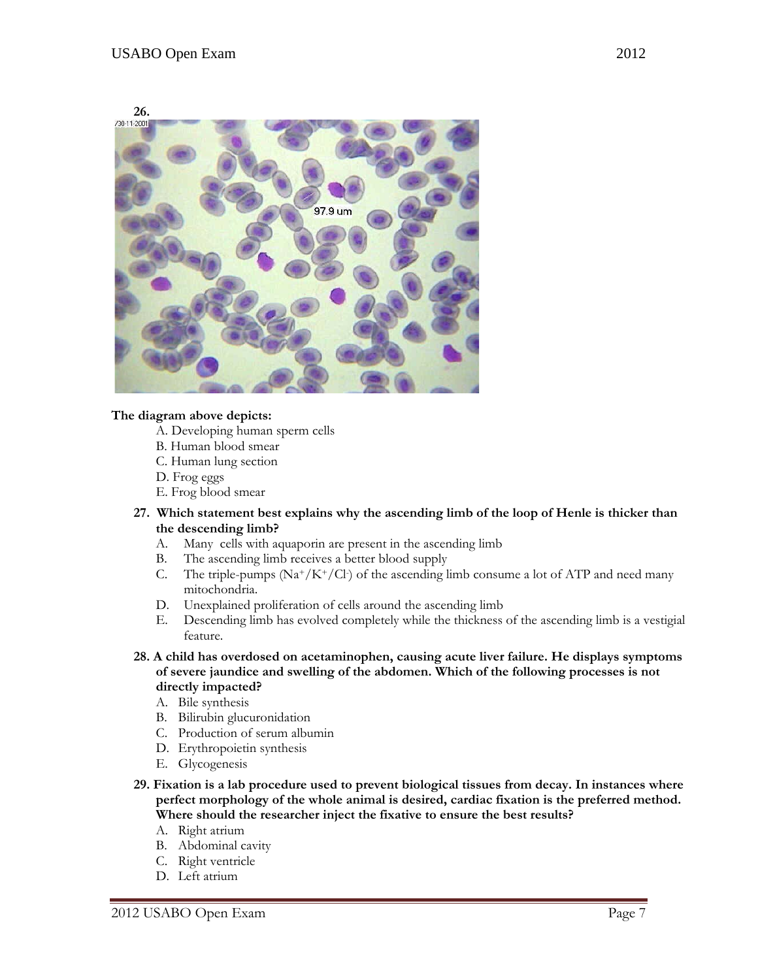



## **The diagram above depicts:**

- A. Developing human sperm cells
- B. Human blood smear
- C. Human lung section
- D. Frog eggs
- E. Frog blood smear
- **27. Which statement best explains why the ascending limb of the loop of Henle is thicker than the descending limb?** 
	- A. Many cells with aquaporin are present in the ascending limb
	- B. The ascending limb receives a better blood supply
	- C. The triple-pumps  $(Na^+/K^+/Cl)$  of the ascending limb consume a lot of ATP and need many mitochondria.
	- D. Unexplained proliferation of cells around the ascending limb
	- E. Descending limb has evolved completely while the thickness of the ascending limb is a vestigial feature.
- **28. A child has overdosed on acetaminophen, causing acute liver failure. He displays symptoms of severe jaundice and swelling of the abdomen. Which of the following processes is not directly impacted?** 
	- A. Bile synthesis
	- B. Bilirubin glucuronidation
	- C. Production of serum albumin
	- D. Erythropoietin synthesis
	- E. Glycogenesis
- **29. Fixation is a lab procedure used to prevent biological tissues from decay. In instances where perfect morphology of the whole animal is desired, cardiac fixation is the preferred method. Where should the researcher inject the fixative to ensure the best results?** 
	- A. Right atrium
	- B. Abdominal cavity
	- C. Right ventricle
	- D. Left atrium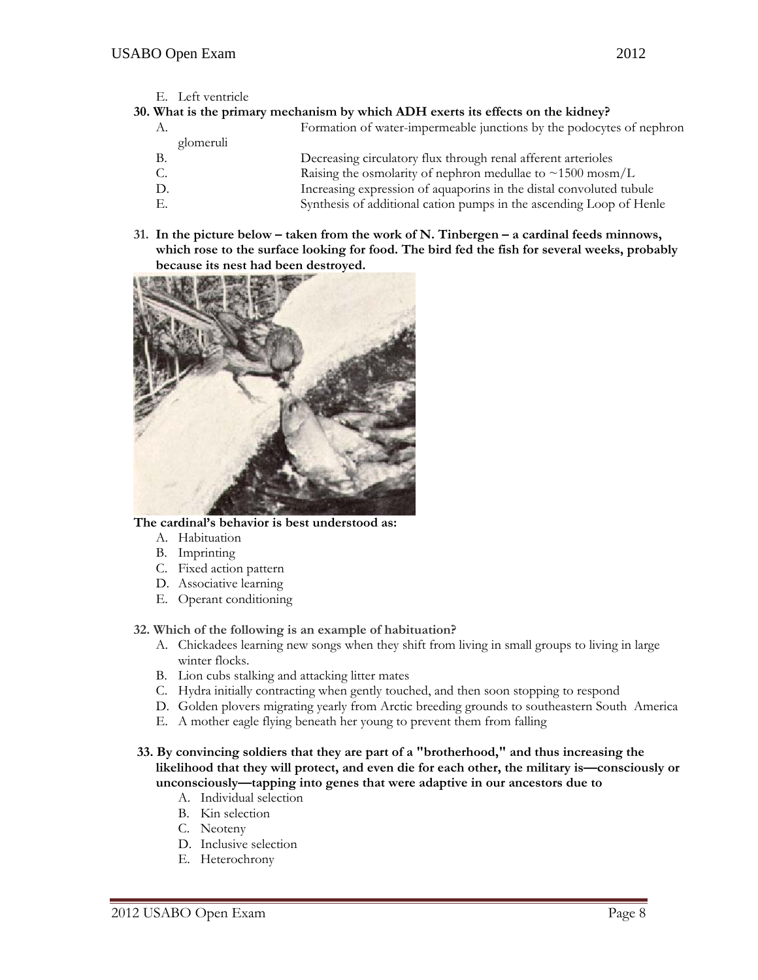E. Left ventricle

## **30. What is the primary mechanism by which ADH exerts its effects on the kidney?**

- A. Formation of water-impermeable junctions by the podocytes of nephron glomeruli B. Decreasing circulatory flux through renal afferent arterioles C. Raising the osmolarity of nephron medullae to  $\sim$ 1500 mosm/L D. Increasing expression of aquaporins in the distal convoluted tubule
- E. Synthesis of additional cation pumps in the ascending Loop of Henle
- **31. In the picture below taken from the work of N. Tinbergen a cardinal feeds minnows, which rose to the surface looking for food. The bird fed the fish for several weeks, probably because its nest had been destroyed.**



## **The cardinal's behavior is best understood as:**

- A. Habituation
- B. Imprinting
- C. Fixed action pattern
- D. Associative learning
- E. Operant conditioning

## **32. Which of the following is an example of habituation?**

- A. Chickadees learning new songs when they shift from living in small groups to living in large winter flocks.
- B. Lion cubs stalking and attacking litter mates
- C. Hydra initially contracting when gently touched, and then soon stopping to respond
- D. Golden plovers migrating yearly from Arctic breeding grounds to southeastern South America
- E. A mother eagle flying beneath her young to prevent them from falling
- **33. By convincing soldiers that they are part of a "brotherhood," and thus increasing the likelihood that they will protect, and even die for each other, the military is—consciously or unconsciously—tapping into genes that were adaptive in our ancestors due to** 
	- A. Individual selection
	- B. Kin selection
	- C. Neoteny
	- D. Inclusive selection
	- E. Heterochrony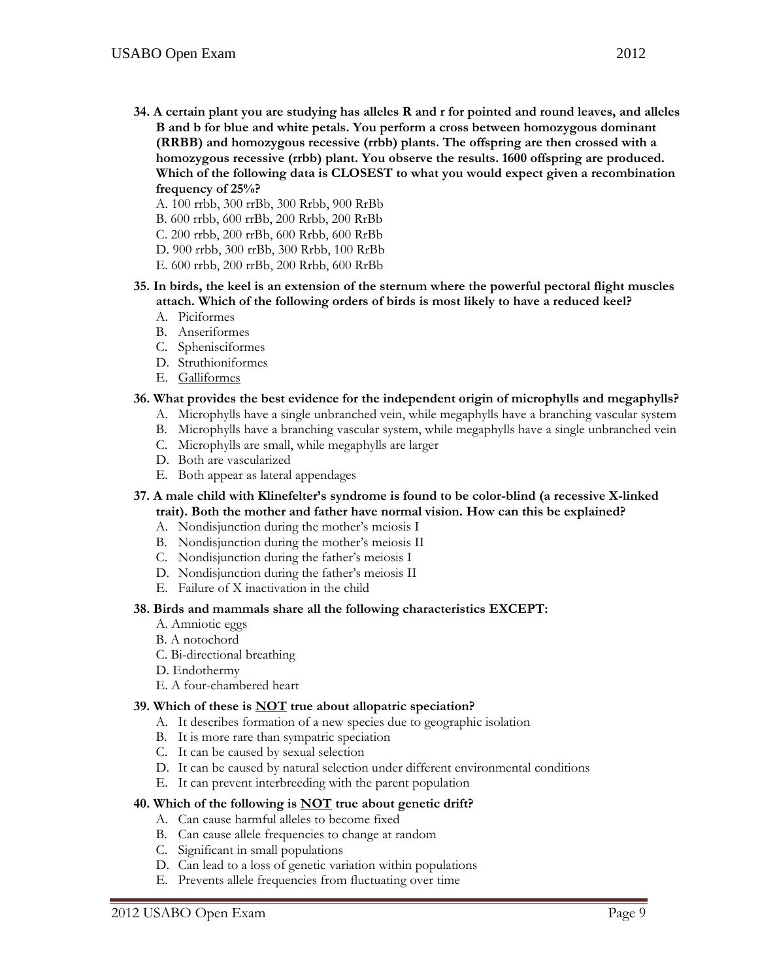- **34. A certain plant you are studying has alleles R and r for pointed and round leaves, and alleles B and b for blue and white petals. You perform a cross between homozygous dominant (RRBB) and homozygous recessive (rrbb) plants. The offspring are then crossed with a homozygous recessive (rrbb) plant. You observe the results. 1600 offspring are produced. Which of the following data is CLOSEST to what you would expect given a recombination frequency of 25%?** 
	- A. 100 rrbb, 300 rrBb, 300 Rrbb, 900 RrBb
	- B. 600 rrbb, 600 rrBb, 200 Rrbb, 200 RrBb
	- C. 200 rrbb, 200 rrBb, 600 Rrbb, 600 RrBb
	- D. 900 rrbb, 300 rrBb, 300 Rrbb, 100 RrBb
	- E. 600 rrbb, 200 rrBb, 200 Rrbb, 600 RrBb
- **35. In birds, the keel is an extension of the sternum where the powerful pectoral flight muscles attach. Which of the following orders of birds is most likely to have a reduced keel?** 
	- A. Piciformes
	- B. Anseriformes
	- C. Sphenisciformes
	- D. Struthioniformes
	- E. Galliformes

## **36. What provides the best evidence for the independent origin of microphylls and megaphylls?**

- A. Microphylls have a single unbranched vein, while megaphylls have a branching vascular system
- B. Microphylls have a branching vascular system, while megaphylls have a single unbranched vein
- C. Microphylls are small, while megaphylls are larger
- D. Both are vascularized
- E. Both appear as lateral appendages
- **37. A male child with Klinefelter's syndrome is found to be color-blind (a recessive X-linked trait). Both the mother and father have normal vision. How can this be explained?** 
	- A. Nondisjunction during the mother's meiosis I
	- B. Nondisjunction during the mother's meiosis II
	- C. Nondisjunction during the father's meiosis I
	- D. Nondisjunction during the father's meiosis II
	- E. Failure of X inactivation in the child

#### **38. Birds and mammals share all the following characteristics EXCEPT:**

- A. Amniotic eggs
- B. A notochord
- C. Bi-directional breathing
- D. Endothermy
- E. A four-chambered heart

#### **39. Which of these is NOT true about allopatric speciation?**

- A. It describes formation of a new species due to geographic isolation
- B. It is more rare than sympatric speciation
- C. It can be caused by sexual selection
- D. It can be caused by natural selection under different environmental conditions
- E. It can prevent interbreeding with the parent population

#### **40. Which of the following is NOT true about genetic drift?**

- A. Can cause harmful alleles to become fixed
- B. Can cause allele frequencies to change at random
- C. Significant in small populations
- D. Can lead to a loss of genetic variation within populations
- E. Prevents allele frequencies from fluctuating over time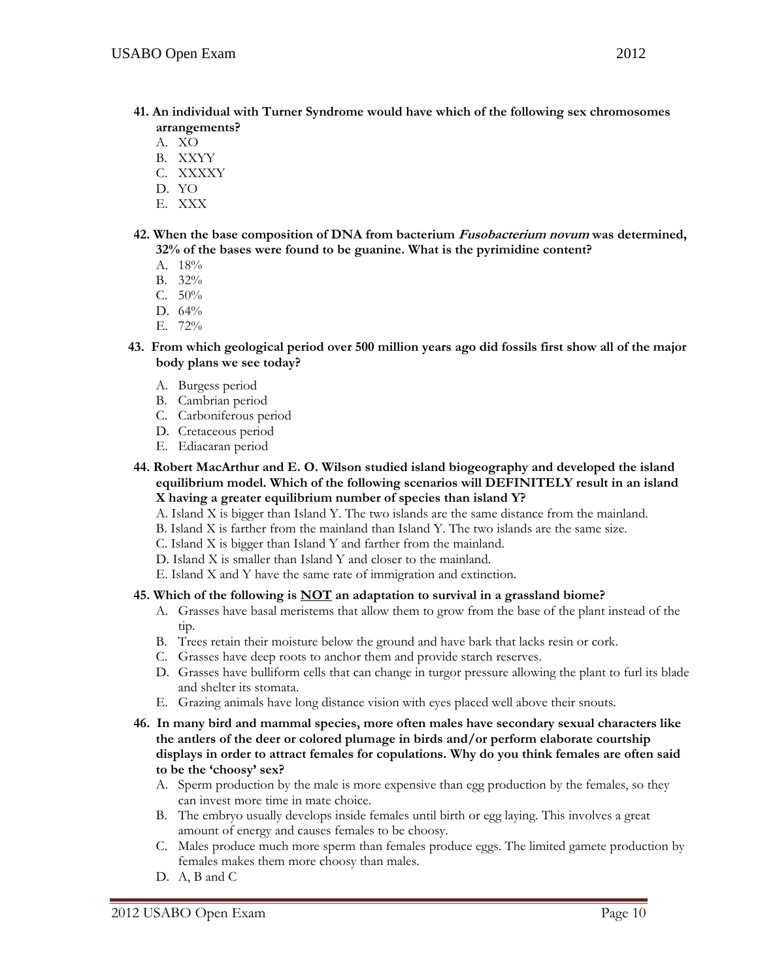- **41. An individual with Turner Syndrome would have which of the following sex chromosomes arrangements?** 
	- A. XO
	- B. XXYY
	- C. XXXXY
	- D. YO
	- E. XXX
- **42. When the base composition of DNA from bacterium Fusobacterium novum was determined, 32% of the bases were found to be guanine. What is the pyrimidine content?** 
	- A. 18%
	- B. 32%
	- C. 50%
	- D. 64%
	- E. 72%
- **43. From which geological period over 500 million years ago did fossils first show all of the major body plans we see today?** 
	- A. Burgess period
	- B. Cambrian period
	- C. Carboniferous period
	- D. Cretaceous period
	- E. Ediacaran period
- **44. Robert MacArthur and E. O. Wilson studied island biogeography and developed the island equilibrium model. Which of the following scenarios will DEFINITELY result in an island X having a greater equilibrium number of species than island Y?** 
	- A. Island X is bigger than Island Y. The two islands are the same distance from the mainland.
	- B. Island X is farther from the mainland than Island Y. The two islands are the same size.
	- C. Island X is bigger than Island Y and farther from the mainland.
	- D. Island X is smaller than Island Y and closer to the mainland.
	- E. Island X and Y have the same rate of immigration and extinction.

# **45. Which of the following is NOT an adaptation to survival in a grassland biome?**

- A. Grasses have basal meristems that allow them to grow from the base of the plant instead of the tip.
- B. Trees retain their moisture below the ground and have bark that lacks resin or cork.
- C. Grasses have deep roots to anchor them and provide starch reserves.
- D. Grasses have bulliform cells that can change in turgor pressure allowing the plant to furl its blade and shelter its stomata.
- E. Grazing animals have long distance vision with eyes placed well above their snouts.
- **46. In many bird and mammal species, more often males have secondary sexual characters like the antlers of the deer or colored plumage in birds and/or perform elaborate courtship displays in order to attract females for copulations. Why do you think females are often said to be the 'choosy' sex?** 
	- A. Sperm production by the male is more expensive than egg production by the females, so they can invest more time in mate choice.
	- B. The embryo usually develops inside females until birth or egg laying. This involves a great amount of energy and causes females to be choosy.
	- C. Males produce much more sperm than females produce eggs. The limited gamete production by females makes them more choosy than males.
	- D. A, B and C